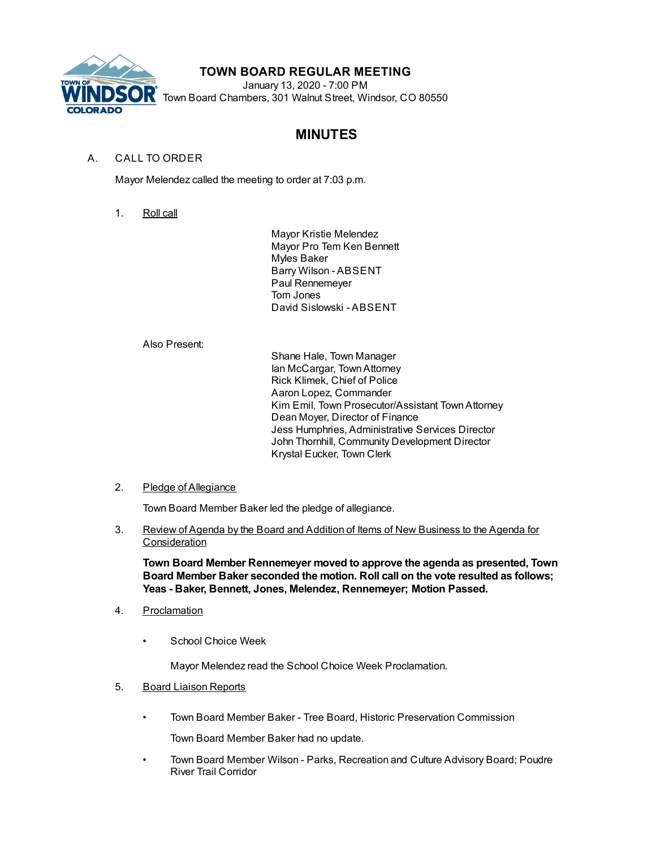

## **TOWN BOARD REGULAR MEETING**

January 13, 2020 - 7:00 PM Town Board Chambers, 301 Walnut Street, Windsor, CO 80550

# **MINUTES**

## A. CALL TO ORDER

Mayor Melendez called the meeting to order at 7:03 p.m.

1. Roll call

Mayor Kristie Melendez Mayor Pro Tem Ken Bennett Myles Baker Barry Wilson - ABSENT Paul Rennemeyer Tom Jones David Sislowski - ABSENT

## Also Present:

Shane Hale, Town Manager Ian McCargar, TownAttorney Rick Klimek, Chief of Police Aaron Lopez, Commander Kim Emil, Town Prosecutor/Assistant TownAttorney Dean Moyer, Director of Finance Jess Humphries, Administrative Services Director John Thornhill, Community Development Director Krystal Eucker, Town Clerk

## 2. Pledge of Allegiance

Town Board Member Baker led the pledge of allegiance.

3. Review of Agenda by the Board and Addition of Items of New Business to the Agenda for **Consideration** 

**Town Board Member Rennemeyer moved to approve the agenda as presented, Town Board Member Baker seconded the motion. Roll call on the vote resulted as follows; Yeas - Baker, Bennett, Jones, Melendez, Rennemeyer; Motion Passed.**

- 4. Proclamation
	- School Choice Week

Mayor Melendez read the School Choice Week Proclamation.

- 5. Board Liaison Reports
	- Town Board Member Baker Tree Board, Historic Preservation Commission

Town Board Member Baker had no update.

• Town Board Member Wilson - Parks, Recreation and Culture Advisory Board; Poudre River Trail Corridor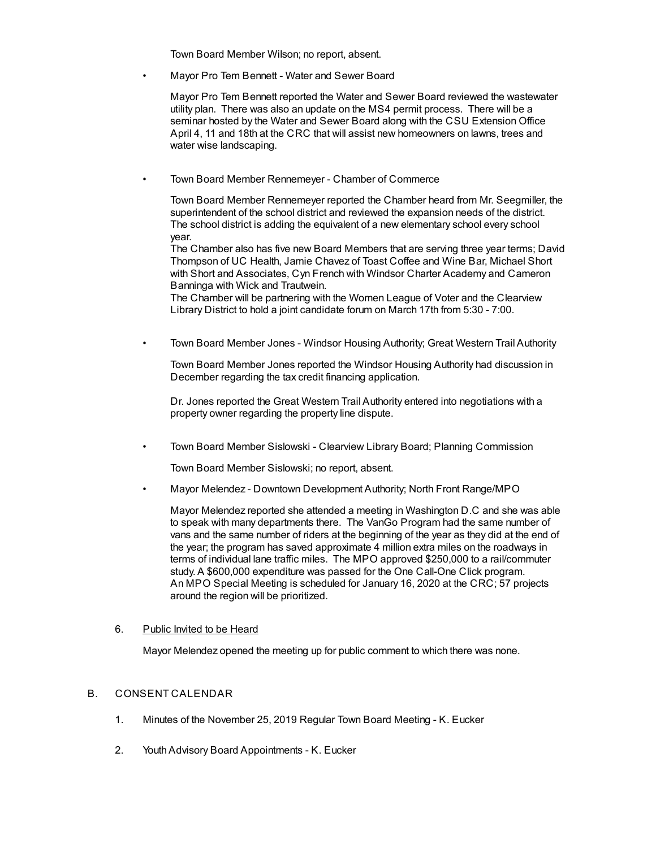Town Board Member Wilson; no report, absent.

• Mayor Pro Tem Bennett - Water and Sewer Board

Mayor Pro Tem Bennett reported the Water and Sewer Board reviewed the wastewater utility plan. There was also an update on the MS4 permit process. There will be a seminar hosted by the Water and Sewer Board along with the CSU Extension Office April 4, 11 and 18th at the CRC that will assist new homeowners on lawns, trees and water wise landscaping.

• Town Board Member Rennemeyer - Chamber of Commerce

Town Board Member Rennemeyer reported the Chamber heard from Mr. Seegmiller, the superintendent of the school district and reviewed the expansion needs of the district. The school district is adding the equivalent of a new elementary school every school year.

The Chamber also has five new Board Members that are serving three year terms; David Thompson of UC Health, Jamie Chavez of Toast Coffee and Wine Bar, Michael Short with Short and Associates, Cyn French with Windsor Charter Academy and Cameron Banninga with Wick and Trautwein.

The Chamber will be partnering with the Women League of Voter and the Clearview Library District to hold a joint candidate forum on March 17th from 5:30 - 7:00.

• Town Board Member Jones - Windsor Housing Authority; Great Western Trail Authority

Town Board Member Jones reported the Windsor Housing Authority had discussion in December regarding the tax credit financing application.

Dr. Jones reported the Great Western Trail Authority entered into negotiations with a property owner regarding the property line dispute.

• Town Board Member Sislowski - Clearview Library Board; Planning Commission

Town Board Member Sislowski; no report, absent.

• Mayor Melendez - Downtown Development Authority; North Front Range/MPO

Mayor Melendez reported she attended a meeting in Washington D.C and she was able to speak with many departments there. The VanGo Program had the same number of vans and the same number of riders at the beginning of the year as they did at the end of the year; the program has saved approximate 4 million extra miles on the roadways in terms of individual lane traffic miles. The MPO approved \$250,000 to a rail/commuter study. A \$600,000 expenditure was passed for the One Call-One Click program. An MPO Special Meeting is scheduled for January 16, 2020 at the CRC; 57 projects around the region will be prioritized.

### 6. Public Invited to be Heard

Mayor Melendez opened the meeting up for public comment to which there was none.

## B. CONSENT CALENDAR

- 1. Minutes of the November 25, 2019 Regular Town Board Meeting K. Eucker
- 2. YouthAdvisory Board Appointments K. Eucker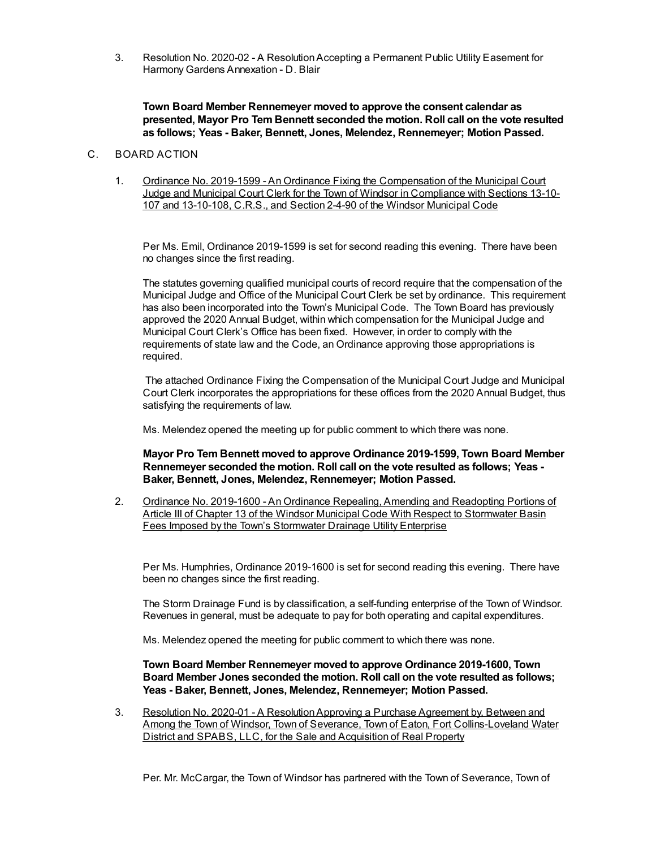3. Resolution No. 2020-02 - A ResolutionAccepting a Permanent Public Utility Easement for Harmony Gardens Annexation - D. Blair

**Town Board Member Rennemeyer moved to approve the consent calendar as presented, Mayor Pro Tem Bennett seconded the motion. Roll call on the vote resulted as follows; Yeas - Baker, Bennett, Jones, Melendez, Rennemeyer; Motion Passed.**

#### C. BOARD ACTION

1. Ordinance No. 2019-1599 - An Ordinance Fixing the Compensation of the Municipal Court Judge and Municipal Court Clerk for the Town of Windsor in Compliance with Sections 13-10- 107 and 13-10-108, C.R.S., and Section 2-4-90 of the Windsor Municipal Code

Per Ms. Emil, Ordinance 2019-1599 is set for second reading this evening. There have been no changes since the first reading.

The statutes governing qualified municipal courts of record require that the compensation of the Municipal Judge and Office of the Municipal Court Clerk be set by ordinance. This requirement has also been incorporated into the Town's Municipal Code. The Town Board has previously approved the 2020 Annual Budget, within which compensation for the Municipal Judge and Municipal Court Clerk's Office has been fixed. However, in order to comply with the requirements of state law and the Code, an Ordinance approving those appropriations is required.

The attached Ordinance Fixing the Compensation of the Municipal Court Judge and Municipal Court Clerk incorporates the appropriations for these offices from the 2020 Annual Budget, thus satisfying the requirements of law.

Ms. Melendez opened the meeting up for public comment to which there was none.

**Mayor Pro Tem Bennett moved to approve Ordinance 2019-1599, Town Board Member Rennemeyer seconded the motion. Roll call on the vote resulted as follows; Yeas - Baker, Bennett, Jones, Melendez, Rennemeyer; Motion Passed.**

2. Ordinance No. 2019-1600 - An Ordinance Repealing, Amending and Readopting Portions of Article III of Chapter 13 of the Windsor Municipal Code With Respect to Stormwater Basin Fees Imposed by the Town's Stormwater Drainage Utility Enterprise

Per Ms. Humphries, Ordinance 2019-1600 is set for second reading this evening. There have been no changes since the first reading.

The Storm Drainage Fund is by classification, a self-funding enterprise of the Town of Windsor. Revenues in general, must be adequate to pay for both operating and capital expenditures.

Ms. Melendez opened the meeting for public comment to which there was none.

**Town Board Member Rennemeyer moved to approve Ordinance 2019-1600, Town Board Member Jones seconded the motion. Roll call on the vote resulted as follows; Yeas - Baker, Bennett, Jones, Melendez, Rennemeyer; Motion Passed.**

3. Resolution No. 2020-01 - A ResolutionApproving a Purchase Agreement by, Between and Among the Town of Windsor, Town of Severance, Town of Eaton, Fort Collins-Loveland Water District and SPABS, LLC, for the Sale and Acquisition of Real Property

Per. Mr. McCargar, the Town of Windsor has partnered with the Town of Severance, Town of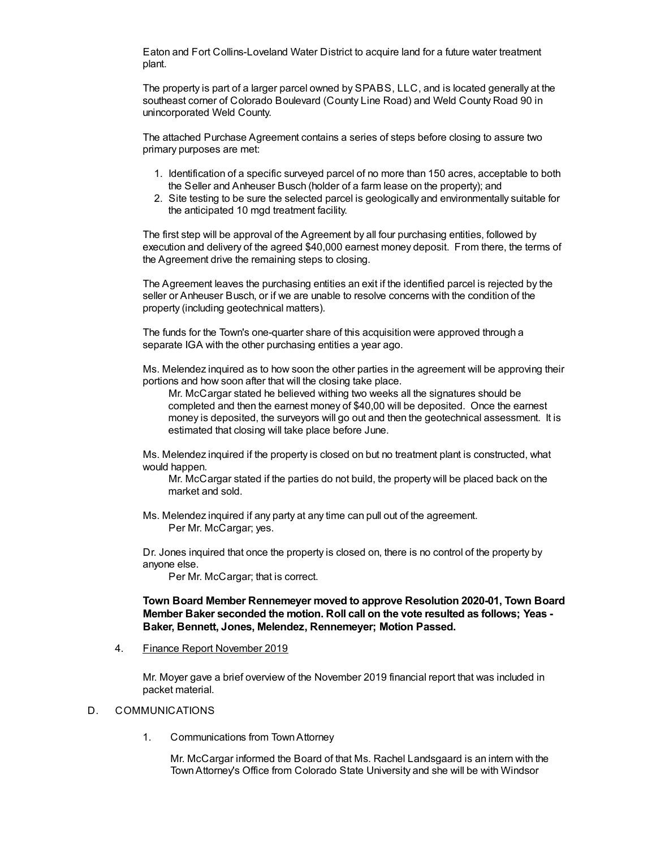Eaton and Fort Collins-Loveland Water District to acquire land for a future water treatment plant.

The property is part of a larger parcel owned by SPABS, LLC, and is located generally at the southeast corner of Colorado Boulevard (County Line Road) and Weld County Road 90 in unincorporated Weld County.

The attached Purchase Agreement contains a series of steps before closing to assure two primary purposes are met:

- 1. Identification of a specific surveyed parcel of no more than 150 acres, acceptable to both the Seller and Anheuser Busch (holder of a farm lease on the property); and
- 2. Site testing to be sure the selected parcel is geologically and environmentally suitable for the anticipated 10 mgd treatment facility.

The first step will be approval of the Agreement by all four purchasing entities, followed by execution and delivery of the agreed \$40,000 earnest money deposit. From there, the terms of the Agreement drive the remaining steps to closing.

The Agreement leaves the purchasing entities an exit if the identified parcel is rejected by the seller or Anheuser Busch, or if we are unable to resolve concerns with the condition of the property (including geotechnical matters).

The funds for the Town's one-quarter share of this acquisition were approved through a separate IGA with the other purchasing entities a year ago.

Ms. Melendez inquired as to how soon the other parties in the agreement will be approving their portions and how soon after that will the closing take place.

Mr. McCargar stated he believed withing two weeks all the signatures should be completed and then the earnest money of \$40,00 will be deposited. Once the earnest money is deposited, the surveyors will go out and then the geotechnical assessment. It is estimated that closing will take place before June.

Ms. Melendez inquired if the property is closed on but no treatment plant is constructed, what would happen.

Mr. McCargar stated if the parties do not build, the property will be placed back on the market and sold.

Ms. Melendez inquired if any party at any time can pull out of the agreement. Per Mr. McCargar; yes.

Dr. Jones inquired that once the property is closed on, there is no control of the property by anyone else.

Per Mr. McCargar; that is correct.

### **Town Board Member Rennemeyer moved to approve Resolution 2020-01, Town Board Member Baker seconded the motion. Roll call on the vote resulted as follows; Yeas - Baker, Bennett, Jones, Melendez, Rennemeyer; Motion Passed.**

4. Finance Report November 2019

Mr. Moyer gave a brief overview of the November 2019 financial report that was included in packet material.

#### D. COMMUNICATIONS

1. Communications from TownAttorney

Mr. McCargar informed the Board of that Ms. Rachel Landsgaard is an intern with the TownAttorney's Office from Colorado State University and she will be with Windsor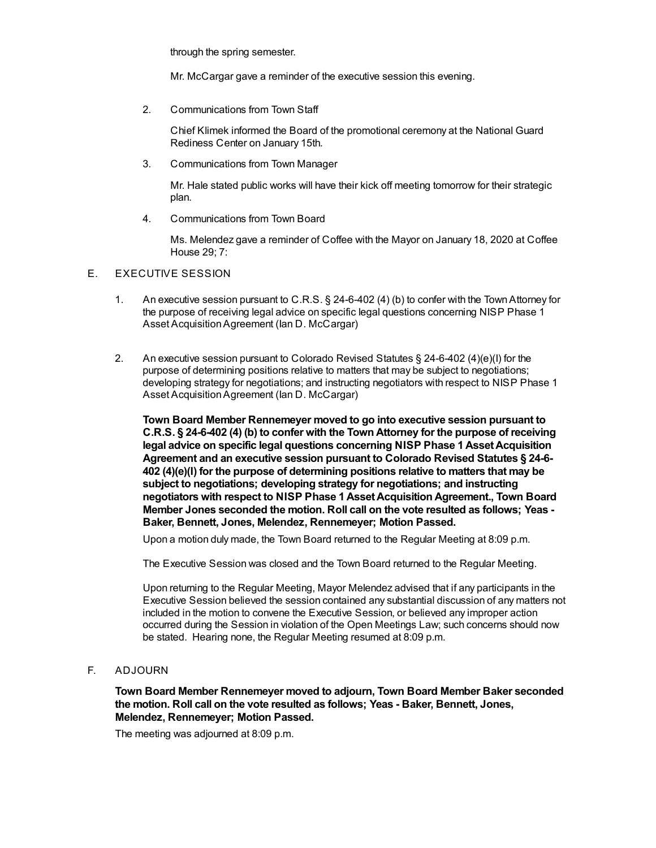through the spring semester.

Mr. McCargar gave a reminder of the executive session this evening.

2. Communications from Town Staff

Chief Klimek informed the Board of the promotional ceremony at the National Guard Rediness Center on January 15th.

3. Communications from Town Manager

Mr. Hale stated public works will have their kick off meeting tomorrow for their strategic plan.

4. Communications from Town Board

Ms. Melendez gave a reminder of Coffee with the Mayor on January 18, 2020 at Coffee House 29; 7:

### E. EXECUTIVE SESSION

- 1. An executive session pursuant to C.R.S. § 24-6-402 (4) (b) to confer with the Town Attorney for the purpose of receiving legal advice on specific legal questions concerning NISP Phase 1 Asset Acquisition Agreement (Ian D. McCargar)
- 2. An executive session pursuant to Colorado Revised Statutes § 24-6-402 (4)(e)(I) for the purpose of determining positions relative to matters that may be subject to negotiations; developing strategy for negotiations; and instructing negotiators with respect to NISP Phase 1 Asset Acquisition Agreement (Ian D. McCargar)

**Town Board Member Rennemeyer moved to go into executive session pursuant to C.R.S. § 24-6-402 (4) (b) to confer with the Town Attorney for the purpose of receiving legal advice on specific legal questions concerning NISP Phase 1 Asset Acquisition Agreement and an executive session pursuant to Colorado Revised Statutes § 24-6- 402 (4)(e)(I) for the purpose of determining positions relative to matters that may be subject to negotiations; developing strategy for negotiations; and instructing negotiators with respect to NISP Phase 1 Asset Acquisition Agreement., Town Board Member Jones seconded the motion. Roll call on the vote resulted as follows; Yeas - Baker, Bennett, Jones, Melendez, Rennemeyer; Motion Passed.**

Upon a motion duly made, the Town Board returned to the Regular Meeting at 8:09 p.m.

The Executive Session was closed and the Town Board returned to the Regular Meeting.

Upon returning to the Regular Meeting, Mayor Melendez advised that if any participants in the Executive Session believed the session contained any substantial discussion of any matters not included in the motion to convene the Executive Session, or believed any improper action occurred during the Session in violation of the Open Meetings Law; such concerns should now be stated. Hearing none, the Regular Meeting resumed at 8:09 p.m.

F. ADJOURN

**Town Board Member Rennemeyer moved to adjourn, Town Board Member Baker seconded the motion. Roll call on the vote resulted as follows; Yeas - Baker, Bennett, Jones, Melendez, Rennemeyer; Motion Passed.**

The meeting was adjourned at 8:09 p.m.